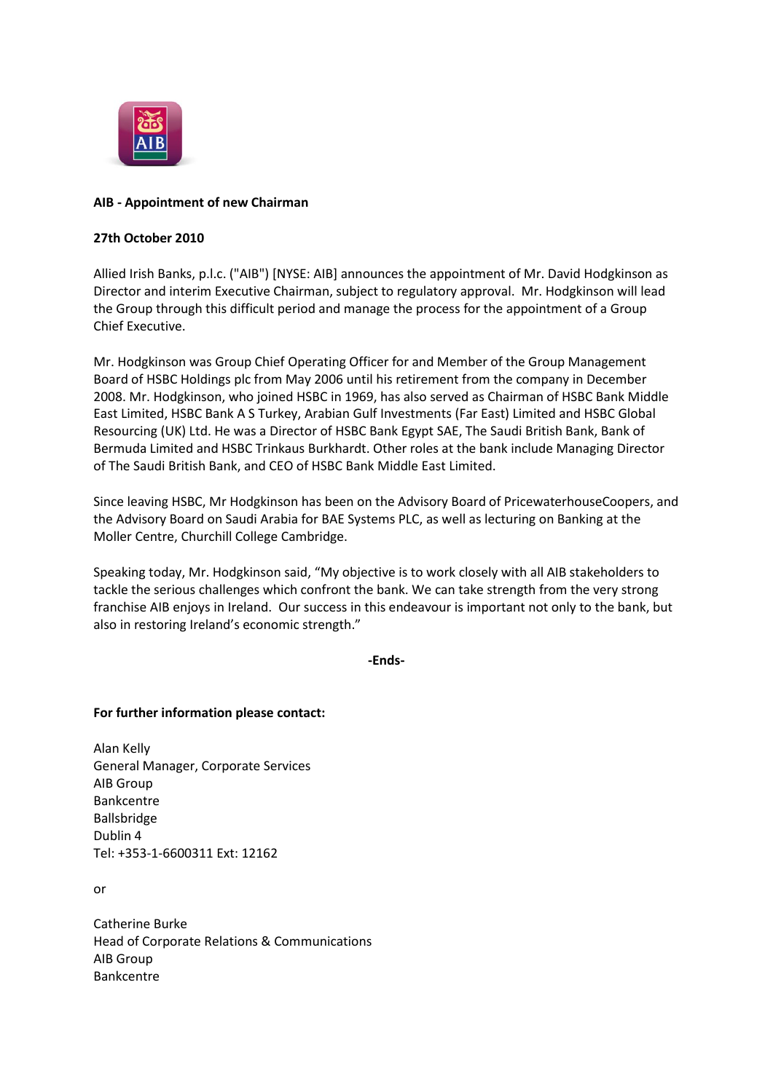

## **AIB - Appointment of new Chairman**

## **27th October 2010**

Allied Irish Banks, p.l.c. ("AIB") [NYSE: AIB] announces the appointment of Mr. David Hodgkinson as Director and interim Executive Chairman, subject to regulatory approval. Mr. Hodgkinson will lead the Group through this difficult period and manage the process for the appointment of a Group Chief Executive.

Mr. Hodgkinson was Group Chief Operating Officer for and Member of the Group Management Board of HSBC Holdings plc from May 2006 until his retirement from the company in December 2008. Mr. Hodgkinson, who joined HSBC in 1969, has also served as Chairman of HSBC Bank Middle East Limited, HSBC Bank A S Turkey, Arabian Gulf Investments (Far East) Limited and HSBC Global Resourcing (UK) Ltd. He was a Director of HSBC Bank Egypt SAE, The Saudi British Bank, Bank of Bermuda Limited and HSBC Trinkaus Burkhardt. Other roles at the bank include Managing Director of The Saudi British Bank, and CEO of HSBC Bank Middle East Limited.

Since leaving HSBC, Mr Hodgkinson has been on the Advisory Board of PricewaterhouseCoopers, and the Advisory Board on Saudi Arabia for BAE Systems PLC, as well as lecturing on Banking at the Moller Centre, Churchill College Cambridge.

Speaking today, Mr. Hodgkinson said, "My objective is to work closely with all AIB stakeholders to tackle the serious challenges which confront the bank. We can take strength from the very strong franchise AIB enjoys in Ireland. Our success in this endeavour is important not only to the bank, but also in restoring Ireland's economic strength."

**-Ends-**

## **For further information please contact:**

Alan Kelly General Manager, Corporate Services AIB Group Bankcentre Ballsbridge Dublin 4 Tel: +353-1-6600311 Ext: 12162

or

Catherine Burke Head of Corporate Relations & Communications AIB Group Bankcentre